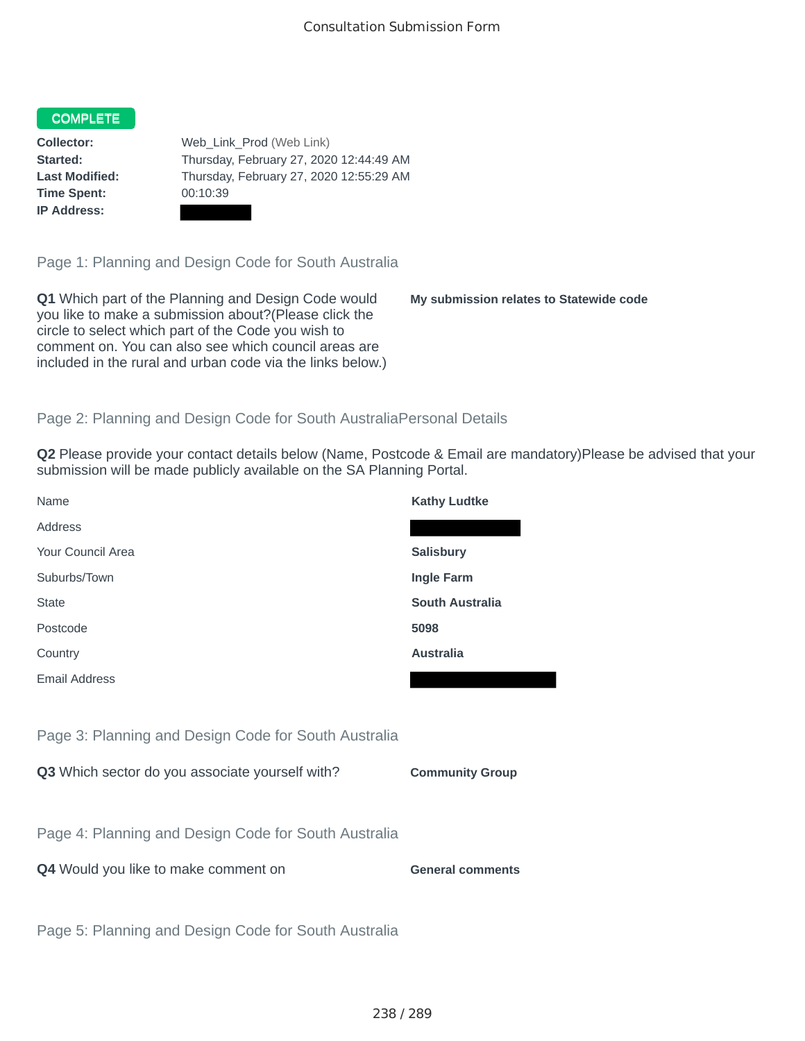## COMPLETE

**Time Spent:** 00:10:39 **IP Address:**

**Collector:** Web\_Link\_Prod (Web Link) **Started:** Thursday, February 27, 2020 12:44:49 AM **Last Modified:** Thursday, February 27, 2020 12:55:29 AM

Page 1: Planning and Design Code for South Australia

**Q1** Which part of the Planning and Design Code would you like to make a submission about?(Please click the circle to select which part of the Code you wish to comment on. You can also see which council areas are included in the rural and urban code via the links below.)

**My submission relates to Statewide code**

## Page 2: Planning and Design Code for South AustraliaPersonal Details

**Q2** Please provide your contact details below (Name, Postcode & Email are mandatory)Please be advised that your submission will be made publicly available on the SA Planning Portal.

| Name                                                 | <b>Kathy Ludtke</b>     |
|------------------------------------------------------|-------------------------|
| Address                                              |                         |
| Your Council Area                                    | <b>Salisbury</b>        |
| Suburbs/Town                                         | Ingle Farm              |
| <b>State</b>                                         | <b>South Australia</b>  |
| Postcode                                             | 5098                    |
| Country                                              | <b>Australia</b>        |
| <b>Email Address</b>                                 |                         |
|                                                      |                         |
| Page 3: Planning and Design Code for South Australia |                         |
| Q3 Which sector do you associate yourself with?      | <b>Community Group</b>  |
|                                                      |                         |
| Page 4: Planning and Design Code for South Australia |                         |
| Q4 Would you like to make comment on                 | <b>General comments</b> |
|                                                      |                         |
| Page 5: Planning and Design Code for South Australia |                         |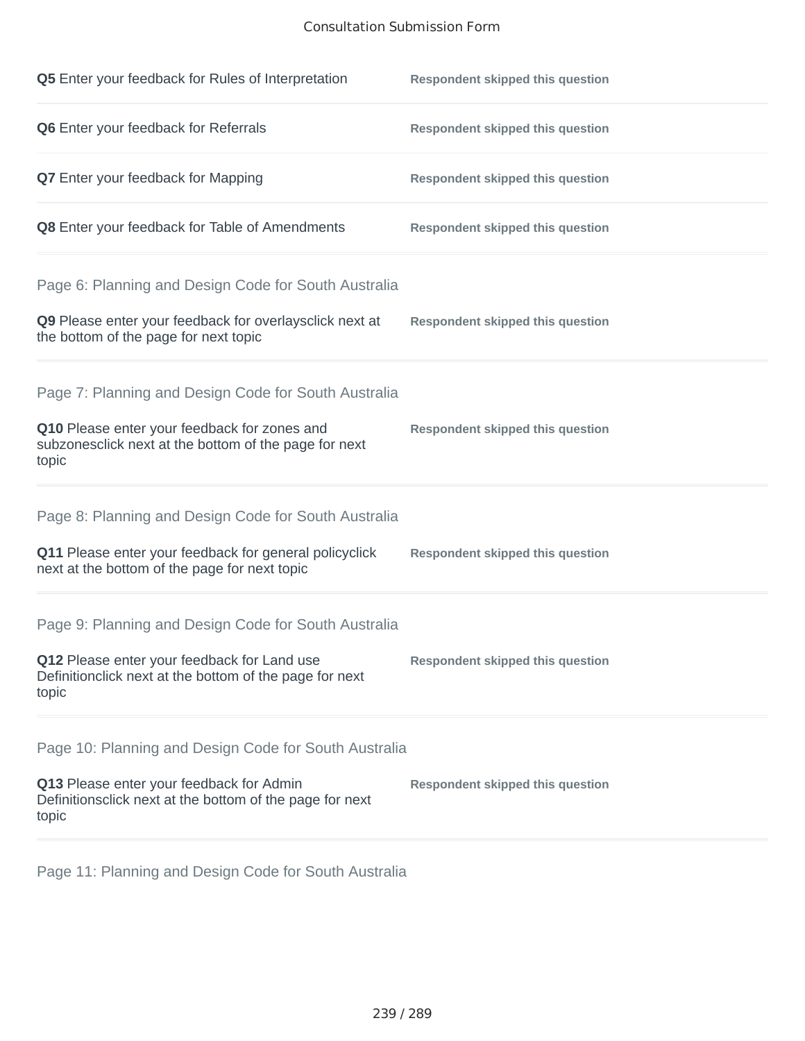## Consultation Submission Form

| Q5 Enter your feedback for Rules of Interpretation                                                              | <b>Respondent skipped this question</b> |
|-----------------------------------------------------------------------------------------------------------------|-----------------------------------------|
| Q6 Enter your feedback for Referrals                                                                            | <b>Respondent skipped this question</b> |
| <b>Q7</b> Enter your feedback for Mapping                                                                       | <b>Respondent skipped this question</b> |
| Q8 Enter your feedback for Table of Amendments                                                                  | <b>Respondent skipped this question</b> |
| Page 6: Planning and Design Code for South Australia                                                            |                                         |
| Q9 Please enter your feedback for overlaysclick next at<br>the bottom of the page for next topic                | <b>Respondent skipped this question</b> |
| Page 7: Planning and Design Code for South Australia                                                            |                                         |
| Q10 Please enter your feedback for zones and<br>subzonesclick next at the bottom of the page for next<br>topic  | <b>Respondent skipped this question</b> |
| Page 8: Planning and Design Code for South Australia                                                            |                                         |
| Q11 Please enter your feedback for general policyclick<br>next at the bottom of the page for next topic         | <b>Respondent skipped this question</b> |
| Page 9: Planning and Design Code for South Australia                                                            |                                         |
| Q12 Please enter your feedback for Land use<br>Definitionclick next at the bottom of the page for next<br>topic | <b>Respondent skipped this question</b> |
| Page 10: Planning and Design Code for South Australia                                                           |                                         |
| Q13 Please enter your feedback for Admin<br>Definitionsclick next at the bottom of the page for next<br>topic   | <b>Respondent skipped this question</b> |

Page 11: Planning and Design Code for South Australia